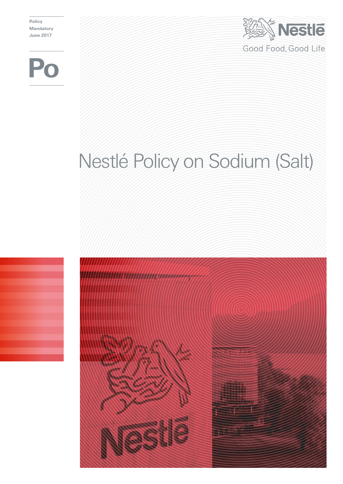**Policy Mandatory June 2017**





# Nestlé Policy on Sodium (Salt)

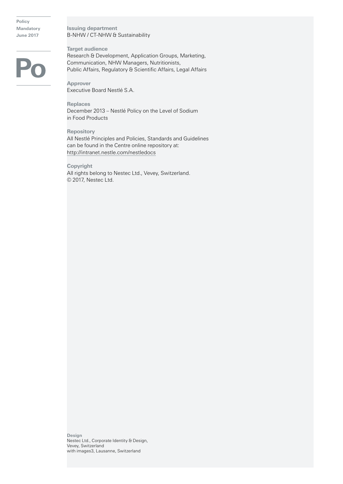**Policy Mandatory June 2017**

## **Issuing department** B-NHW / CT-NHW & Sustainability

**Target audience** Research & Development, Application Groups, Marketing, Communication, NHW Managers, Nutritionists, Public Affairs, Regulatory & Scientific Affairs, Legal Affairs

**Approver** Executive Board Nestlé S.A.

**Replaces** December 2013 – Nestlé Policy on the Level of Sodium in Food Products

**Repository** All Nestlé Principles and Policies, Standards and Guidelines can be found in the Centre online repository at: http://intranet.nestle.com/nestledocs

**Copyright** All rights belong to Nestec Ltd., Vevey, Switzerland. © 2017, Nestec Ltd.

**Design** Nestec Ltd., Corporate Identity & Design, Vevey, Switzerland with images3, Lausanne, Switzerland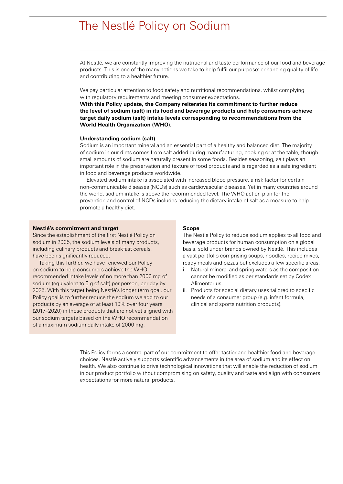# The Nestlé Policy on Sodium

At Nestlé, we are constantly improving the nutritional and taste performance of our food and beverage products. This is one of the many actions we take to help fulfil our purpose: enhancing quality of life and contributing to a healthier future.

We pay particular attention to food safety and nutritional recommendations, whilst complying with regulatory requirements and meeting consumer expectations.

**With this Policy update, the Company reiterates its commitment to further reduce the level of sodium (salt) in its food and beverage products and help consumers achieve target daily sodium (salt) intake levels corresponding to recommendations from the World Health Organization (WHO).**

#### **Understanding sodium (salt)**

Sodium is an important mineral and an essential part of a healthy and balanced diet. The majority of sodium in our diets comes from salt added during manufacturing, cooking or at the table, though small amounts of sodium are naturally present in some foods. Besides seasoning, salt plays an important role in the preservation and texture of food products and is regarded as a safe ingredient in food and beverage products worldwide.

Elevated sodium intake is associated with increased blood pressure, a risk factor for certain non-communicable diseases (NCDs) such as cardiovascular diseases. Yet in many countries around the world, sodium intake is above the recommended level. The WHO action plan for the prevention and control of NCDs includes reducing the dietary intake of salt as a measure to help promote a healthy diet.

#### **Nestlé's commitment and target**

Since the establishment of the first Nestlé Policy on sodium in 2005, the sodium levels of many products, including culinary products and breakfast cereals, have been significantly reduced.

Taking this further, we have renewed our Policy on sodium to help consumers achieve the WHO recommended intake levels of no more than 2000 mg of sodium (equivalent to 5 g of salt) per person, per day by 2025. With this target being Nestlé's longer term goal, our Policy goal is to further reduce the sodium we add to our products by an average of at least 10% over four years (2017–2020) in those products that are not yet aligned with our sodium targets based on the WHO recommendation of a maximum sodium daily intake of 2000 mg.

### **Scope**

The Nestlé Policy to reduce sodium applies to all food and beverage products for human consumption on a global basis, sold under brands owned by Nestlé. This includes a vast portfolio comprising soups, noodles, recipe mixes, ready meals and pizzas but excludes a few specific areas:

- i. Natural mineral and spring waters as the composition cannot be modified as per standards set by Codex Alimentarius.
- ii. Products for special dietary uses tailored to specific needs of a consumer group (e.g. infant formula, clinical and sports nutrition products).

This Policy forms a central part of our commitment to offer tastier and healthier food and beverage choices. Nestlé actively supports scientific advancements in the area of sodium and its effect on health. We also continue to drive technological innovations that will enable the reduction of sodium in our product portfolio without compromising on safety, quality and taste and align with consumers' expectations for more natural products.